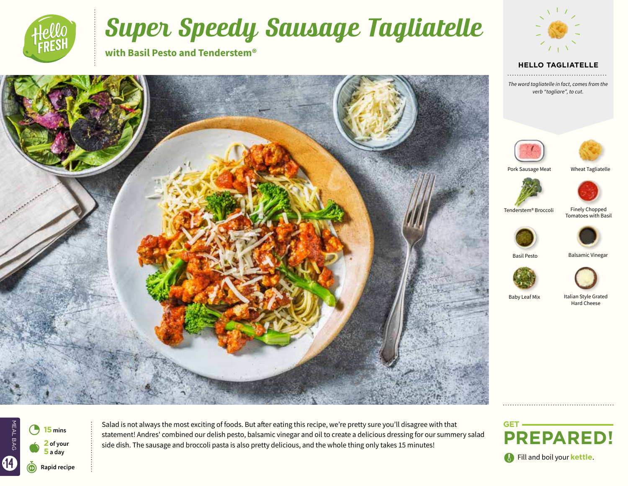

# Super Speedy Sausage Tagliatelle

**with Basil Pesto and Tenderstem®**



#### **HELLO TAGLIATELLE**

*The word tagliatelle in fact, comes from the verb "tagliare", to cut.*





Pork Sausage Meat Wheat Tagliatelle





Tenderstem® Broccoli

Finely Chopped Tomatoes with Basil





Basil Pesto Balsamic Vinegar





Baby Leaf Mix

Italian Style Grated Hard Cheese

MEAL BAG  $\bullet$ 3 **<sup>15</sup> mins 2 of your 5 a day O** Fill and boil your kettle.

Salad is not always the most exciting of foods. But after eating this recipe, we're pretty sure you'll disagree with that statement! Andres' combined our delish pesto, balsamic vinegar and oil to create a delicious dressing for our summery salad side dish. The sausage and broccoli pasta is also pretty delicious, and the whole thing only takes 15 minutes!